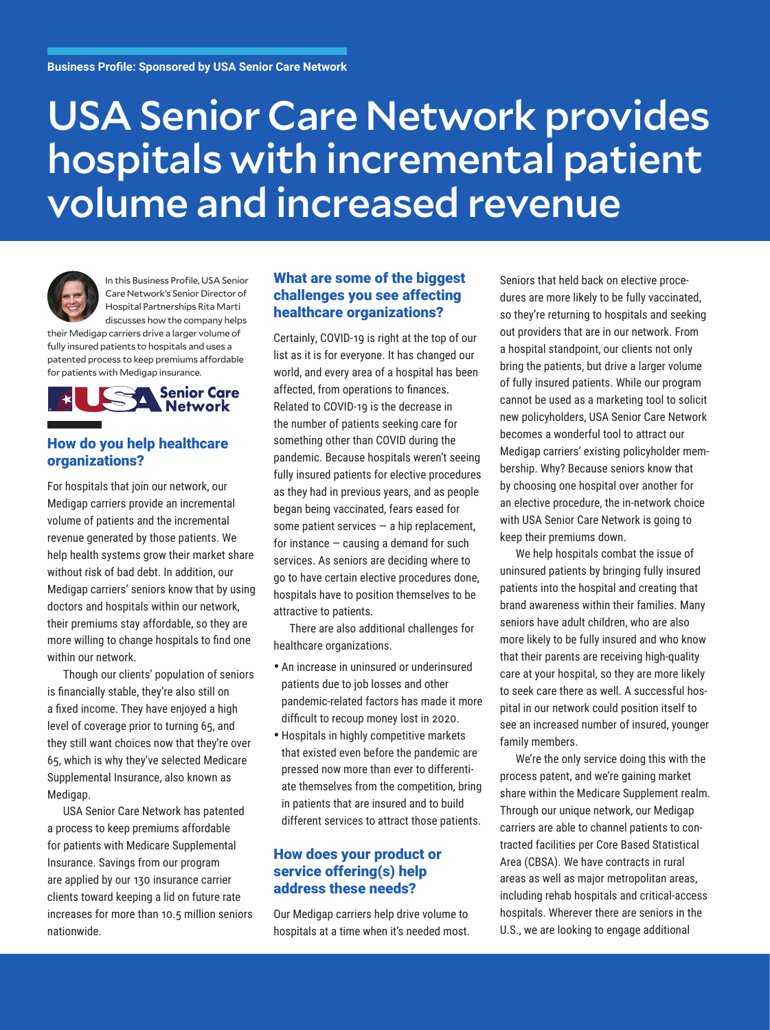# USA Senior Care Network provides hospitals with incremental patient volume and increased revenue



In this Business Profile, USA Senior Care Network's Senior Director of Hospital Partnerships Rita Marti discusses how the company helps

their Medigap carriers drive a larger volume of fully insured patients to hospitals and uses a patented process to keep premiums affordable for patients with Medigap insurance.



# How do you help healthcare organizations?

For hospitals that join our network, our Medigap carriers provide an incremental volume of patients and the incremental revenue generated by those patients. We help health systems grow their market share without risk of bad debt. In addition, our Medigap carriers' seniors know that by using doctors and hospitals within our network, their premiums stay affordable, so they are more willing to change hospitals to find one within our network.

Though our clients' population of seniors is financially stable, they're also still on a fixed income. They have enjoyed a high level of coverage prior to turning 65, and they still want choices now that they're over 65, which is why they've selected Medicare Supplemental Insurance, also known as Medigap.

USA Senior Care Network has patented a process to keep premiums affordable for patients with Medicare Supplemental Insurance. Savings from our program are applied by our 130 insurance carrier clients toward keeping a lid on future rate increases for more than 10.5 million seniors nationwide.

#### What are some of the biggest challenges you see affecting healthcare organizations?

Certainly, COVID-19 is right at the top of our list as it is for everyone. It has changed our world, and every area of a hospital has been affected, from operations to finances. Related to COVID-19 is the decrease in the number of patients seeking care for something other than COVID during the pandemic. Because hospitals weren't seeing fully insured patients for elective procedures as they had in previous years, and as people began being vaccinated, fears eased for some patient services  $-$  a hip replacement, for instance  $-$  causing a demand for such services. As seniors are deciding where to go to have certain elective procedures done, hospitals have to position themselves to be attractive to patients.

There are also additional challenges for healthcare organizations.

- An increase in uninsured or underinsured patients due to job losses and other pandemic-related factors has made it more difficult to recoup money lost in 2020.
- Hospitals in highly competitive markets that existed even before the pandemic are pressed now more than ever to differentiate themselves from the competition, bring in patients that are insured and to build different services to attract those patients.

# How does your product or service offering(s) help address these needs?

Our Medigap carriers help drive volume to hospitals at a time when it's needed most.

Seniors that held back on elective procedures are more likely to be fully vaccinated, so they're returning to hospitals and seeking out providers that are in our network. From a hospital standpoint, our clients not only bring the patients, but drive a larger volume of fully insured patients. While our program cannot be used as a marketing tool to solicit new policyholders, USA Senior Care Network becomes a wonderful tool to attract our Medigap carriers' existing policyholder membership. Why? Because seniors know that by choosing one hospital over another for an elective procedure, the in-network choice with USA Senior Care Network is going to keep their premiums down.

We help hospitals combat the issue of uninsured patients by bringing fully insured patients into the hospital and creating that brand awareness within their families. Many seniors have adult children, who are also more likely to be fully insured and who know that their parents are receiving high-quality care at your hospital, so they are more likely to seek care there as well. A successful hospital in our network could position itself to see an increased number of insured, younger family members.

We're the only service doing this with the process patent, and we're gaining market share within the Medicare Supplement realm. Through our unique network, our Medigap carriers are able to channel patients to contracted facilities per Core Based Statistical Area (CBSA). We have contracts in rural areas as well as major metropolitan areas, including rehab hospitals and critical-access hospitals. Wherever there are seniors in the U.S., we are looking to engage additional